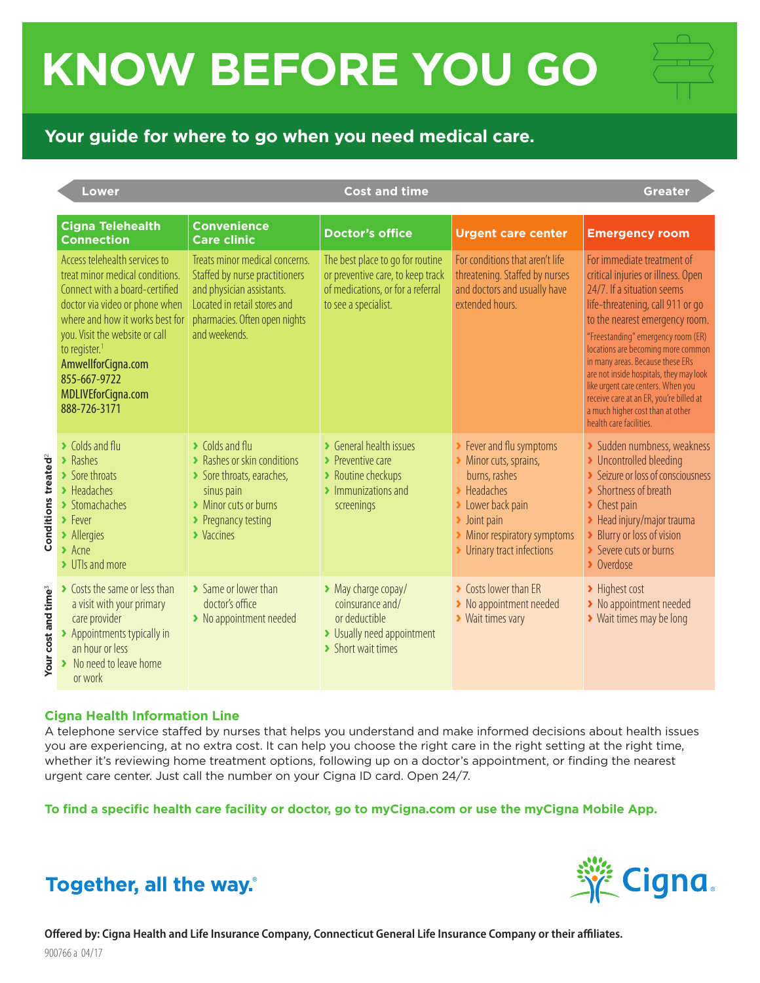## **KNOW BEFORE YOU GO**

## **Your guide for where to go when you need medical care.**

|                                           | <b>Lower</b>                                                                                                                                                                                                                                                                                                       |                                                                                                                                                                                          | <b>Cost and time</b>                                                                                                                            |                                                                                                                                                                                                                             | <b>Greater</b>                                                                                                                                                                                                                                                                                                                                                                                                                                                                  |  |
|-------------------------------------------|--------------------------------------------------------------------------------------------------------------------------------------------------------------------------------------------------------------------------------------------------------------------------------------------------------------------|------------------------------------------------------------------------------------------------------------------------------------------------------------------------------------------|-------------------------------------------------------------------------------------------------------------------------------------------------|-----------------------------------------------------------------------------------------------------------------------------------------------------------------------------------------------------------------------------|---------------------------------------------------------------------------------------------------------------------------------------------------------------------------------------------------------------------------------------------------------------------------------------------------------------------------------------------------------------------------------------------------------------------------------------------------------------------------------|--|
|                                           | <b>Cigna Telehealth</b><br><b>Connection</b>                                                                                                                                                                                                                                                                       | <b>Convenience</b><br><b>Care clinic</b>                                                                                                                                                 | <b>Doctor's office</b>                                                                                                                          | <b>Urgent care center</b>                                                                                                                                                                                                   | <b>Emergency room</b>                                                                                                                                                                                                                                                                                                                                                                                                                                                           |  |
|                                           | Access telehealth services to<br>treat minor medical conditions.<br>Connect with a board-certified<br>doctor via video or phone when<br>where and how it works best for<br>you. Visit the website or call<br>to register. <sup>1</sup><br>AmwellforCigna.com<br>855-667-9722<br>MDLIVEforCigna.com<br>888-726-3171 | Treats minor medical concerns.<br>Staffed by nurse practitioners<br>and physician assistants.<br>Located in retail stores and<br>pharmacies. Often open nights<br>and weekends.          | The best place to go for routine<br>or preventive care, to keep track<br>of medications, or for a referral<br>to see a specialist.              | For conditions that aren't life<br>threatening. Staffed by nurses<br>and doctors and usually have<br>extended hours.                                                                                                        | For immediate treatment of<br>critical injuries or illness. Open<br>24/7. If a situation seems<br>life-threatening, call 911 or go<br>to the nearest emergency room.<br>"Freestanding" emergency room (ER)<br>locations are becoming more common<br>in many areas. Because these ERs<br>are not inside hospitals, they may look<br>like urgent care centers. When you<br>receive care at an ER, you're billed at<br>a much higher cost than at other<br>health care facilities. |  |
| Conditions treated <sup>2</sup>           | $\blacktriangleright$ Colds and flu<br>$\blacktriangleright$ Rashes<br>$\blacktriangleright$ Sore throats<br>$\blacktriangleright$ Headaches<br>> Stomachaches<br>$\blacktriangleright$ Fever<br>> Allergies<br>$\blacktriangleright$ Acne<br>> UTIs and more                                                      | $\triangleright$ Colds and flu<br>> Rashes or skin conditions<br>Sore throats, earaches,<br>sinus pain<br>> Minor cuts or burns<br>▶ Pregnancy testing<br>$\blacktriangleright$ Vaccines | ▶ General health issues<br>$\blacktriangleright$ Preventive care<br>> Routine checkups<br>$\blacktriangleright$ Immunizations and<br>screenings | ▶ Fever and flu symptoms<br>Minor cuts, sprains,<br>burns, rashes<br>$\blacktriangleright$ Headaches<br>> Lower back pain<br>$\blacktriangleright$ Joint pain<br>> Minor respiratory symptoms<br>> Urinary tract infections | > Sudden numbness, weakness<br>> Uncontrolled bleeding<br>Seizure or loss of consciousness<br>> Shortness of breath<br>$\blacktriangleright$ Chest pain<br>> Head injury/major trauma<br>Blurry or loss of vision<br>Severe cuts or burns<br>$\rightarrow$ Overdose                                                                                                                                                                                                             |  |
| cost and time <sup>3</sup><br><b>Your</b> | ▶ Costs the same or less than<br>a visit with your primary<br>care provider<br>> Appointments typically in<br>an hour or less<br>No need to leave home<br>or work                                                                                                                                                  | > Same or lower than<br>doctor's office<br>> No appointment needed                                                                                                                       | > May charge copay/<br>coinsurance and/<br>or deductible<br>> Usually need appointment<br>> Short wait times                                    | Costs lower than ER<br>> No appointment needed<br>▶ Wait times vary                                                                                                                                                         | > Highest cost<br>> No appointment needed<br>> Wait times may be long                                                                                                                                                                                                                                                                                                                                                                                                           |  |

## **Cigna Health Information Line**

A telephone service staffed by nurses that helps you understand and make informed decisions about health issues you are experiencing, at no extra cost. It can help you choose the right care in the right setting at the right time, whether it's reviewing home treatment options, following up on a doctor's appointment, or finding the nearest urgent care center. Just call the number on your Cigna ID card. Open 24/7.

**To find a specific health care facility or doctor, go to myCigna.com or use the myCigna Mobile App.**



Together, all the way.